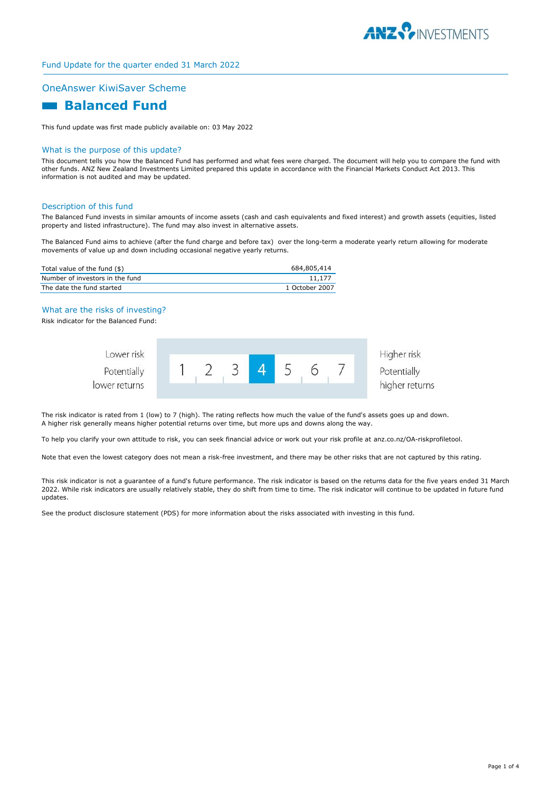

# Fund Update for the quarter ended 31 March 2022

### OneAnswer KiwiSaver Scheme

# **Balanced Fund**

This fund update was first made publicly available on: 03 May 2022

#### What is the purpose of this update?

This document tells you how the Balanced Fund has performed and what fees were charged. The document will help you to compare the fund with other funds. ANZ New Zealand Investments Limited prepared this update in accordance with the Financial Markets Conduct Act 2013. This information is not audited and may be updated.

#### Description of this fund

The Balanced Fund invests in similar amounts of income assets (cash and cash equivalents and fixed interest) and growth assets (equities, listed property and listed infrastructure). The fund may also invest in alternative assets.

The Balanced Fund aims to achieve (after the fund charge and before tax) over the long-term a moderate yearly return allowing for moderate movements of value up and down including occasional negative yearly returns.

| Total value of the fund (\$)    | 684,805,414    |
|---------------------------------|----------------|
| Number of investors in the fund | 11.177         |
| The date the fund started       | 1 October 2007 |

# What are the risks of investing?

Risk indicator for the Balanced Fund:

| Lower risk    |  |  |  | Higher risk    |
|---------------|--|--|--|----------------|
| Potentially   |  |  |  | Potentially    |
| lower returns |  |  |  | higher returns |

The risk indicator is rated from 1 (low) to 7 (high). The rating reflects how much the value of the fund's assets goes up and down. A higher risk generally means higher potential returns over time, but more ups and downs along the way.

To help you clarify your own attitude to risk, you can seek financial advice or work out your risk profile at anz.co.nz/OA-riskprofiletool.

Note that even the lowest category does not mean a risk-free investment, and there may be other risks that are not captured by this rating.

This risk indicator is not a guarantee of a fund's future performance. The risk indicator is based on the returns data for the five years ended 31 March 2022. While risk indicators are usually relatively stable, they do shift from time to time. The risk indicator will continue to be updated in future fund updates.

See the product disclosure statement (PDS) for more information about the risks associated with investing in this fund.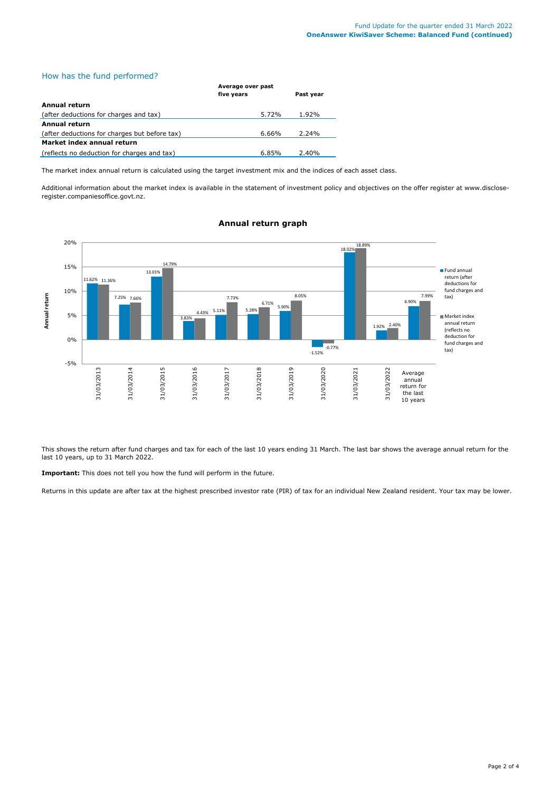# How has the fund performed?

|                                               | Average over past |           |  |
|-----------------------------------------------|-------------------|-----------|--|
|                                               | five years        | Past year |  |
| Annual return                                 |                   |           |  |
| (after deductions for charges and tax)        | 5.72%             | 1.92%     |  |
| Annual return                                 |                   |           |  |
| (after deductions for charges but before tax) | $6.66\%$          | 2.24%     |  |
| Market index annual return                    |                   |           |  |
| (reflects no deduction for charges and tax)   | 6.85%             | 2.40%     |  |

The market index annual return is calculated using the target investment mix and the indices of each asset class.

Additional information about the market index is available in the statement of investment policy and objectives on the offer register at www.discloseregister.companiesoffice.govt.nz.



### **Annual return graph**

This shows the return after fund charges and tax for each of the last 10 years ending 31 March. The last bar shows the average annual return for the last 10 years, up to 31 March 2022.

**Important:** This does not tell you how the fund will perform in the future.

Returns in this update are after tax at the highest prescribed investor rate (PIR) of tax for an individual New Zealand resident. Your tax may be lower.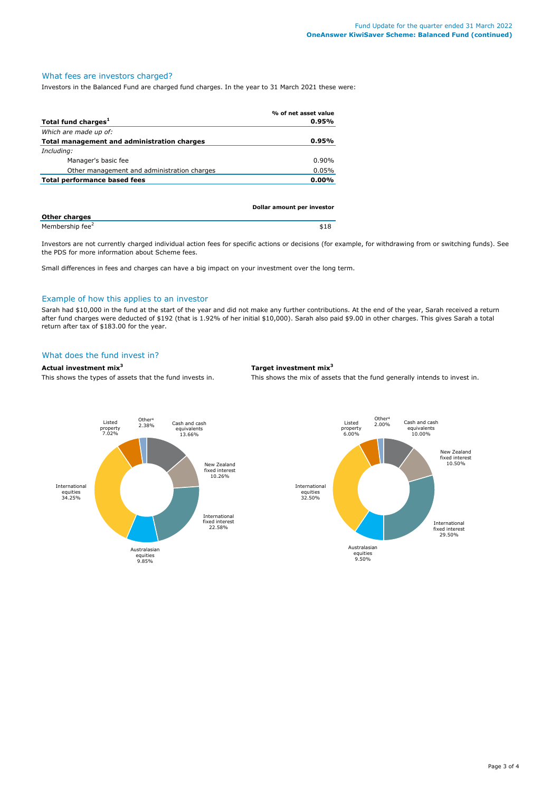# What fees are investors charged?

Investors in the Balanced Fund are charged fund charges. In the year to 31 March 2021 these were:

|                                             | % of net asset value |
|---------------------------------------------|----------------------|
| Total fund charges <sup>1</sup>             | 0.95%                |
| Which are made up of:                       |                      |
| Total management and administration charges | $0.95\%$             |
| Including:                                  |                      |
| Manager's basic fee                         | $0.90\%$             |
| Other management and administration charges | 0.05%                |
| Total performance based fees                | 0.00%                |
|                                             |                      |

|                             | Dollar amount per investor |
|-----------------------------|----------------------------|
| <b>Other charges</b>        |                            |
| Membership fee <sup>2</sup> | \$18                       |

Investors are not currently charged individual action fees for specific actions or decisions (for example, for withdrawing from or switching funds). See the PDS for more information about Scheme fees.

Small differences in fees and charges can have a big impact on your investment over the long term.

# Example of how this applies to an investor

Sarah had \$10,000 in the fund at the start of the year and did not make any further contributions. At the end of the year, Sarah received a return after fund charges were deducted of \$192 (that is 1.92% of her initial \$10,000). Sarah also paid \$9.00 in other charges. This gives Sarah a total return after tax of \$183.00 for the year.

### What does the fund invest in?

### **Actual investment mix<sup>3</sup> Target investment mix<sup>3</sup>**

This shows the types of assets that the fund invests in. This shows the mix of assets that the fund generally intends to invest in.